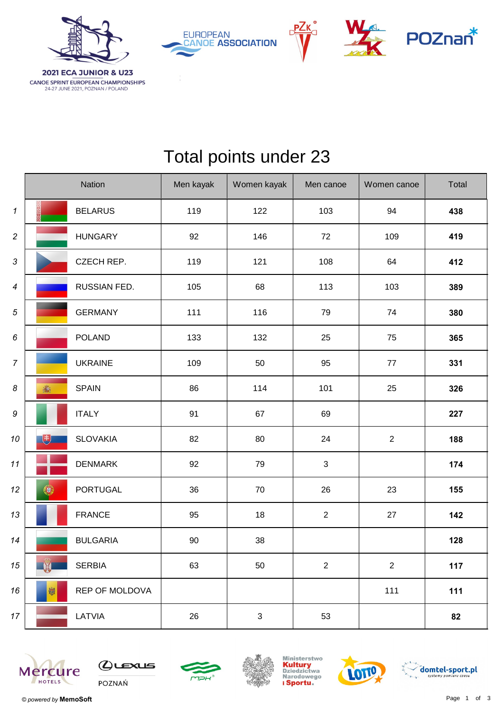

**CANOE SPRINT EUROPEAN CHAMPIONSHIPS**<br>24-27 JUNE 2021, POZNAN / POLAND







## Total points under 23

|                            | Nation               | Men kayak | Women kayak               | Men canoe                 | Women canoe | Total |
|----------------------------|----------------------|-----------|---------------------------|---------------------------|-------------|-------|
| $\boldsymbol{\mathcal{I}}$ | <b>BELARUS</b>       | 119       | 122                       | 103                       | 94          | 438   |
| $\overline{c}$             | <b>HUNGARY</b>       | 92        | 146                       | 72                        | 109         | 419   |
| $\sqrt{3}$                 | CZECH REP.           | 119       | 121                       | 108                       | 64          | 412   |
| $\boldsymbol{4}$           | RUSSIAN FED.         | 105       | 68                        | 113                       | 103         | 389   |
| 5                          | <b>GERMANY</b>       | 111       | 116                       | 79                        | 74          | 380   |
| 6                          | <b>POLAND</b>        | 133       | 132                       | 25                        | 75          | 365   |
| $\boldsymbol{7}$           | <b>UKRAINE</b>       | 109       | 50                        | 95                        | 77          | 331   |
| 8                          | <b>SPAIN</b><br>高    | 86        | 114                       | 101                       | 25          | 326   |
| 9                          | <b>ITALY</b>         | 91        | 67                        | 69                        |             | 227   |
| 10                         | 电<br><b>SLOVAKIA</b> | 82        | 80                        | 24                        | $\sqrt{2}$  | 188   |
| 11                         | <b>DENMARK</b>       | 92        | 79                        | $\ensuremath{\mathsf{3}}$ |             | 174   |
| 12                         | 0<br><b>PORTUGAL</b> | 36        | 70                        | 26                        | 23          | 155   |
| 13                         | <b>FRANCE</b>        | 95        | 18                        | $\boldsymbol{2}$          | 27          | 142   |
| 14                         | <b>BULGARIA</b>      | 90        | 38                        |                           |             | 128   |
| 15                         | W<br><b>SERBIA</b>   | 63        | 50                        | $\mathbf 2$               | $\sqrt{2}$  | $117$ |
| 16                         | 咖<br>REP OF MOLDOVA  |           |                           |                           | 111         | $111$ |
| $17 \,$                    | LATVIA               | 26        | $\ensuremath{\mathsf{3}}$ | 53                        |             | 82    |











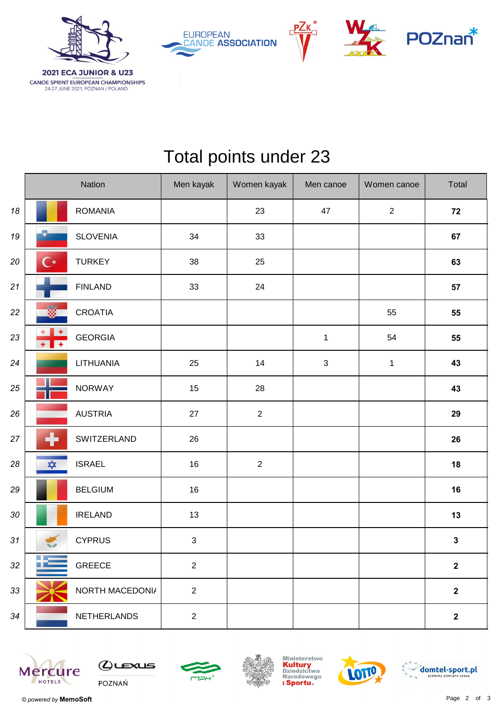

**EUROPEAN CANOE ASSOCIATION** 





## Total points under 23

|    | Nation                                            |                    | Men kayak      | Women kayak    | Men canoe    | Women canoe    | Total          |
|----|---------------------------------------------------|--------------------|----------------|----------------|--------------|----------------|----------------|
| 18 |                                                   | <b>ROMANIA</b>     |                | 23             | 47           | $\overline{2}$ | 72             |
| 19 | $\bullet$                                         | <b>SLOVENIA</b>    | 34             | 33             |              |                | 67             |
| 20 | $\mathbf{C}^\star$                                | <b>TURKEY</b>      | 38             | 25             |              |                | 63             |
| 21 |                                                   | <b>FINLAND</b>     | 33             | 24             |              |                | 57             |
| 22 | ü                                                 | <b>CROATIA</b>     |                |                |              | 55             | 55             |
| 23 | $\ddot{}$<br>$\overline{+}$<br>$+$ $\overline{ }$ | <b>GEORGIA</b>     |                |                | $\mathbf{1}$ | 54             | 55             |
| 24 |                                                   | LITHUANIA          | 25             | 14             | $\sqrt{3}$   | $\mathbf{1}$   | 43             |
| 25 |                                                   | <b>NORWAY</b>      | 15             | 28             |              |                | 43             |
| 26 |                                                   | <b>AUSTRIA</b>     | 27             | $\overline{c}$ |              |                | 29             |
| 27 | ╋                                                 | SWITZERLAND        | 26             |                |              |                | 26             |
| 28 | ✿                                                 | <b>ISRAEL</b>      | 16             | $\overline{2}$ |              |                | 18             |
| 29 |                                                   | <b>BELGIUM</b>     | 16             |                |              |                | 16             |
| 30 |                                                   | <b>IRELAND</b>     | 13             |                |              |                | 13             |
| 31 |                                                   | <b>CYPRUS</b>      | $\sqrt{3}$     |                |              |                | $\mathbf{3}$   |
| 32 |                                                   | <b>GREECE</b>      | $\overline{2}$ |                |              |                | $\mathbf{2}$   |
| 33 |                                                   | NORTH MACEDONI/    | $\overline{2}$ |                |              |                | $\overline{2}$ |
| 34 |                                                   | <b>NETHERLANDS</b> | $\overline{2}$ |                |              |                | $\mathbf{2}$   |